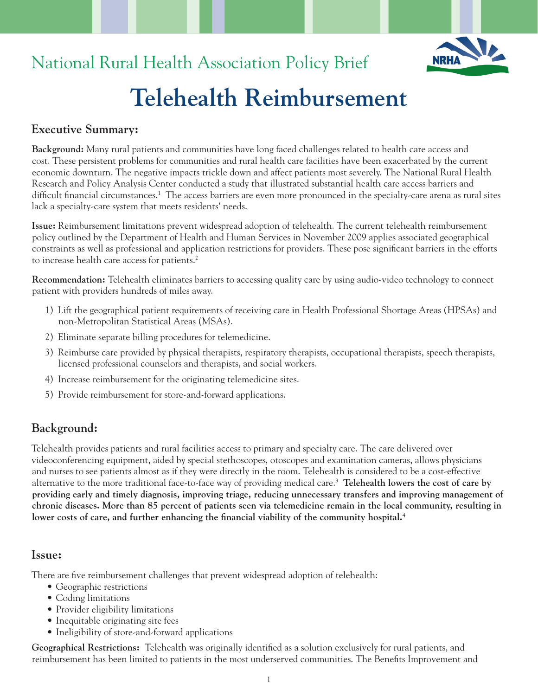# National Rural Health Association Policy Brief

# **Telehealth Reimbursement**

## **Executive Summary:**

**Background:** Many rural patients and communities have long faced challenges related to health care access and cost. These persistent problems for communities and rural health care facilities have been exacerbated by the current economic downturn. The negative impacts trickle down and affect patients most severely. The National Rural Health Research and Policy Analysis Center conducted a study that illustrated substantial health care access barriers and difficult financial circumstances.<sup>1</sup> The access barriers are even more pronounced in the specialty-care arena as rural sites lack a specialty-care system that meets residents' needs.

**Issue:** Reimbursement limitations prevent widespread adoption of telehealth. The current telehealth reimbursement policy outlined by the Department of Health and Human Services in November 2009 applies associated geographical constraints as well as professional and application restrictions for providers. These pose significant barriers in the efforts to increase health care access for patients.<sup>2</sup>

**Recommendation:** Telehealth eliminates barriers to accessing quality care by using audio-video technology to connect patient with providers hundreds of miles away.

- 1) Lift the geographical patient requirements of receiving care in Health Professional Shortage Areas (HPSAs) and non-Metropolitan Statistical Areas (MSAs).
- 2) Eliminate separate billing procedures for telemedicine.
- 3) Reimburse care provided by physical therapists, respiratory therapists, occupational therapists, speech therapists, licensed professional counselors and therapists, and social workers.
- 4) Increase reimbursement for the originating telemedicine sites.
- 5) Provide reimbursement for store-and-forward applications.

### **Background:**

Telehealth provides patients and rural facilities access to primary and specialty care. The care delivered over videoconferencing equipment, aided by special stethoscopes, otoscopes and examination cameras, allows physicians and nurses to see patients almost as if they were directly in the room. Telehealth is considered to be a cost-effective alternative to the more traditional face-to-face way of providing medical care.3 **Telehealth lowers the cost of care by providing early and timely diagnosis, improving triage, reducing unnecessary transfers and improving management of chronic diseases. More than 85 percent of patients seen via telemedicine remain in the local community, resulting in**  lower costs of care, and further enhancing the financial viability of the community hospital.<sup>4</sup>

#### **Issue:**

There are five reimbursement challenges that prevent widespread adoption of telehealth:

- Geographic restrictions
- Coding limitations
- Provider eligibility limitations
- Inequitable originating site fees
- Ineligibility of store-and-forward applications

**Geographical Restrictions:** Telehealth was originally identified as a solution exclusively for rural patients, and reimbursement has been limited to patients in the most underserved communities. The Benefits Improvement and

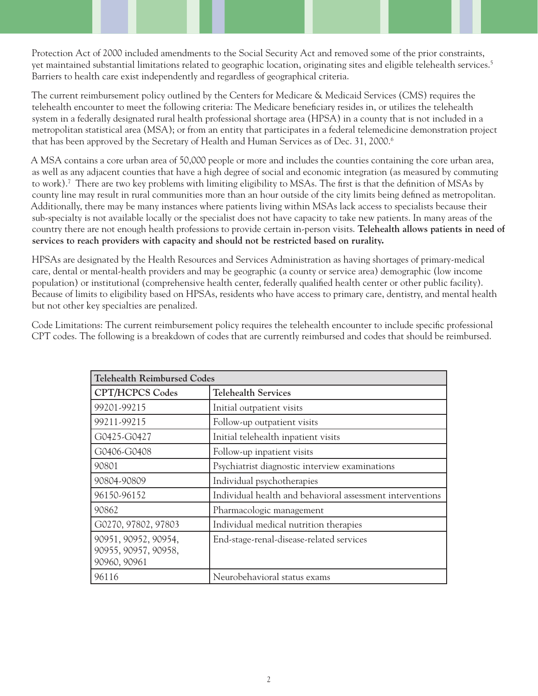Protection Act of 2000 included amendments to the Social Security Act and removed some of the prior constraints, yet maintained substantial limitations related to geographic location, originating sites and eligible telehealth services.5 Barriers to health care exist independently and regardless of geographical criteria.

The current reimbursement policy outlined by the Centers for Medicare & Medicaid Services (CMS) requires the telehealth encounter to meet the following criteria: The Medicare beneficiary resides in, or utilizes the telehealth system in a federally designated rural health professional shortage area (HPSA) in a county that is not included in a metropolitan statistical area (MSA); or from an entity that participates in a federal telemedicine demonstration project that has been approved by the Secretary of Health and Human Services as of Dec. 31, 2000.<sup>6</sup>

A MSA contains a core urban area of 50,000 people or more and includes the counties containing the core urban area, as well as any adjacent counties that have a high degree of social and economic integration (as measured by commuting to work).7 There are two key problems with limiting eligibility to MSAs. The first is that the definition of MSAs by county line may result in rural communities more than an hour outside of the city limits being defined as metropolitan. Additionally, there may be many instances where patients living within MSAs lack access to specialists because their sub-specialty is not available locally or the specialist does not have capacity to take new patients. In many areas of the country there are not enough health professions to provide certain in-person visits. **Telehealth allows patients in need of services to reach providers with capacity and should not be restricted based on rurality.**

HPSAs are designated by the Health Resources and Services Administration as having shortages of primary-medical care, dental or mental-health providers and may be geographic (a county or service area) demographic (low income population) or institutional (comprehensive health center, federally qualified health center or other public facility). Because of limits to eligibility based on HPSAs, residents who have access to primary care, dentistry, and mental health but not other key specialties are penalized.

Code Limitations: The current reimbursement policy requires the telehealth encounter to include specific professional CPT codes. The following is a breakdown of codes that are currently reimbursed and codes that should be reimbursed.

| <b>Telehealth Reimbursed Codes</b>                           |                                                           |
|--------------------------------------------------------------|-----------------------------------------------------------|
| <b>CPT/HCPCS Codes</b>                                       | <b>Telehealth Services</b>                                |
| 99201-99215                                                  | Initial outpatient visits                                 |
| 99211-99215                                                  | Follow-up outpatient visits                               |
| G0425-G0427                                                  | Initial telehealth inpatient visits                       |
| G0406-G0408                                                  | Follow-up inpatient visits                                |
| 90801                                                        | Psychiatrist diagnostic interview examinations            |
| 90804-90809                                                  | Individual psychotherapies                                |
| 96150-96152                                                  | Individual health and behavioral assessment interventions |
| 90862                                                        | Pharmacologic management                                  |
| G0270, 97802, 97803                                          | Individual medical nutrition therapies                    |
| 90951, 90952, 90954,<br>90955, 90957, 90958,<br>90960, 90961 | End-stage-renal-disease-related services                  |
| 96116                                                        | Neurobehavioral status exams                              |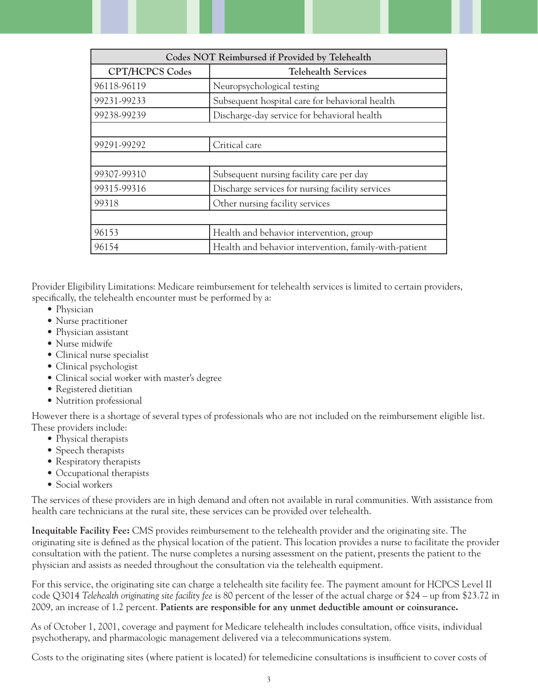| Codes NOT Reimbursed if Provided by Telehealth |                                                       |
|------------------------------------------------|-------------------------------------------------------|
| <b>CPT/HCPCS Codes</b>                         | <b>Telehealth Services</b>                            |
| 96118-96119                                    | Neuropsychological testing                            |
| 99231-99233                                    | Subsequent hospital care for behavioral health        |
| 99238-99239                                    | Discharge-day service for behavioral health           |
|                                                |                                                       |
| 99291-99292                                    | Critical care                                         |
|                                                |                                                       |
| 99307-99310                                    | Subsequent nursing facility care per day              |
| 99315-99316                                    | Discharge services for nursing facility services      |
| 99318                                          | Other nursing facility services                       |
|                                                |                                                       |
| 96153                                          | Health and behavior intervention, group               |
| 96154                                          | Health and behavior intervention, family-with-patient |

Provider Eligibility Limitations: Medicare reimbursement for telehealth services is limited to certain providers, specifically, the telehealth encounter must be performed by a:

- Physician
- Nurse practitioner
- Physician assistant
- Nurse midwife
- Clinical nurse specialist
- Clinical psychologist
- Clinical social worker with master's degree
- Registered dietitian
- Nutrition professional

However there is a shortage of several types of professionals who are not included on the reimbursement eligible list. These providers include:

- Physical therapists
- Speech therapists
- Respiratory therapists
- Occupational therapists
- Social workers

The services of these providers are in high demand and often not available in rural communities. With assistance from health care technicians at the rural site, these services can be provided over telehealth.

**Inequitable Facility Fee:** CMS provides reimbursement to the telehealth provider and the originating site. The originating site is defined as the physical location of the patient. This location provides a nurse to facilitate the provider consultation with the patient. The nurse completes a nursing assessment on the patient, presents the patient to the physician and assists as needed throughout the consultation via the telehealth equipment.

For this service, the originating site can charge a telehealth site facility fee. The payment amount for HCPCS Level II code Q3014 *Telehealth originating site facility fee* is 80 percent of the lesser of the actual charge or \$24 – up from \$23.72 in 2009, an increase of 1.2 percent. **Patients are responsible for any unmet deductible amount or coinsurance.**

As of October 1, 2001, coverage and payment for Medicare telehealth includes consultation, office visits, individual psychotherapy, and pharmacologic management delivered via a telecommunications system.

Costs to the originating sites (where patient is located) for telemedicine consultations is insufficient to cover costs of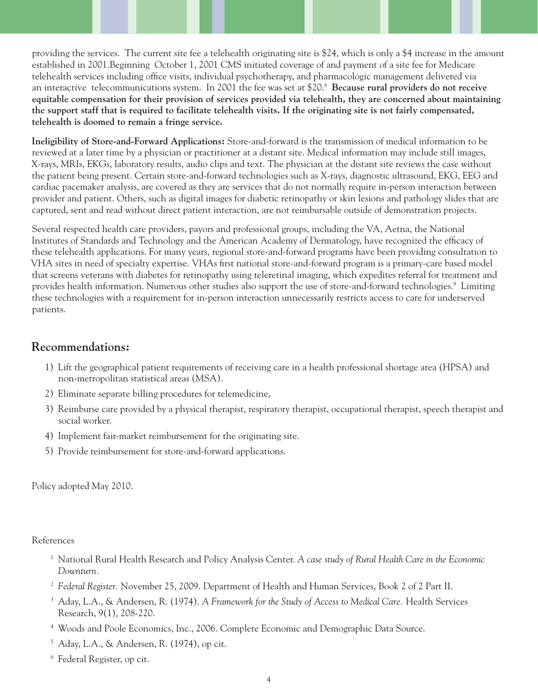providing the services. The current site fee a telehealth originating site is \$24, which is only a \$4 increase in the amount established in 2001.Beginning October 1, 2001 CMS initiated coverage of and payment of a site fee for Medicare telehealth services including office visits, individual psychotherapy, and pharmacologic management delivered via an interactive telecommunications system. In 2001 the fee was set at \$20.8 **Because rural providers do not receive equitable compensation for their provision of services provided via telehealth, they are concerned about maintaining the support staff that is required to facilitate telehealth visits. If the originating site is not fairly compensated, telehealth is doomed to remain a fringe service.** 

**Ineligibility of Store-and-Forward Applications:** Store-and-forward is the transmission of medical information to be reviewed at a later time by a physician or practitioner at a distant site. Medical information may include still images, X-rays, MRIs, EKGs, laboratory results, audio clips and text. The physician at the distant site reviews the case without the patient being present. Certain store-and-forward technologies such as X-rays, diagnostic ultrasound, EKG, EEG and cardiac pacemaker analysis, are covered as they are services that do not normally require in-person interaction between provider and patient. Others, such as digital images for diabetic retinopathy or skin lesions and pathology slides that are captured, sent and read without direct patient interaction, are not reimbursable outside of demonstration projects.

Several respected health care providers, payors and professional groups, including the VA, Aetna, the National Institutes of Standards and Technology and the American Academy of Dermatology, have recognized the efficacy of these telehealth applications. For many years, regional store-and-forward programs have been providing consultation to VHA sites in need of specialty expertise. VHAs first national store-and-forward program is a primary-care based model that screens veterans with diabetes for retinopathy using teleretinal imaging, which expedites referral for treatment and provides health information. Numerous other studies also support the use of store-and-forward technologies.<sup>9</sup> Limiting these technologies with a requirement for in-person interaction unnecessarily restricts access to care for underserved patients.

#### **Recommendations:**

- 1) Lift the geographical patient requirements of receiving care in a health professional shortage area (HPSA) and non-metropolitan statistical areas (MSA).
- 2) Eliminate separate billing procedures for telemedicine,
- 3) Reimburse care provided by a physical therapist, respiratory therapist, occupational therapist, speech therapist and social worker.
- 4) Implement fair-market reimbursement for the originating site.
- 5) Provide reimbursement for store-and-forward applications.

Policy adopted May 2010.

References

- 1 National Rural Health Research and Policy Analysis Center. *A case study of Rural Health Care in the Economic Downturn.*
- <sup>2</sup> *Federal Register.* November 25, 2009. Department of Health and Human Services, Book 2 of 2 Part II.
- 3 Aday, L.A., & Andersen, R. (1974). *A Framework for the Study of Access to Medical Care.* Health Services Research, 9(1), 208-220.
- 4 Woods and Poole Economics, Inc., 2006. Complete Economic and Demographic Data Source.
- 5 Aday, L.A., & Andersen, R. (1974), op cit.
- 6 Federal Register, op cit.